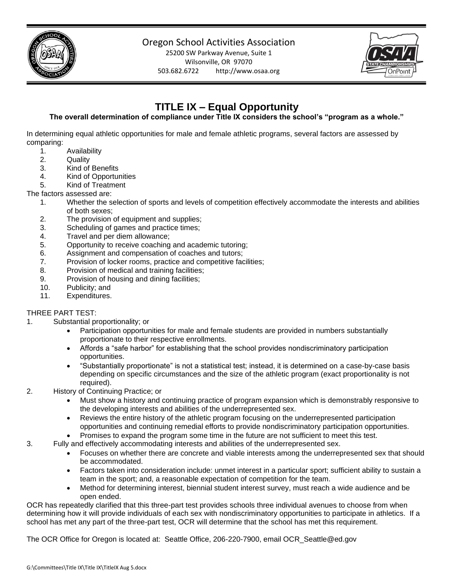

## Oregon School Activities Association

25200 SW Parkway Avenue, Suite 1 Wilsonville, OR 97070 503.682.6722 http://www.osaa.org



# **TITLE IX – Equal Opportunity**

## **The overall determination of compliance under Title IX considers the school's "program as a whole."**

In determining equal athletic opportunities for male and female athletic programs, several factors are assessed by comparing:

- 1. Availability
- 2. Quality
- 3. Kind of Benefits
- 4. Kind of Opportunities
- 5. Kind of Treatment

#### The factors assessed are:

- 1. Whether the selection of sports and levels of competition effectively accommodate the interests and abilities of both sexes;
- 2. The provision of equipment and supplies;
- 3. Scheduling of games and practice times;
- 4. Travel and per diem allowance;
- 5. Opportunity to receive coaching and academic tutoring;
- 6. Assignment and compensation of coaches and tutors;
- 7. Provision of locker rooms, practice and competitive facilities;
- 8. Provision of medical and training facilities;
- 9. Provision of housing and dining facilities;
- 10. Publicity; and
- 11. Expenditures.

## THREE PART TEST:

- 1. Substantial proportionality; or
	- Participation opportunities for male and female students are provided in numbers substantially proportionate to their respective enrollments.
	- Affords a "safe harbor" for establishing that the school provides nondiscriminatory participation opportunities.
	- "Substantially proportionate" is not a statistical test; instead, it is determined on a case-by-case basis depending on specific circumstances and the size of the athletic program (exact proportionality is not required).
- 2. History of Continuing Practice; or
	- Must show a history and continuing practice of program expansion which is demonstrably responsive to the developing interests and abilities of the underrepresented sex.
	- Reviews the entire history of the athletic program focusing on the underrepresented participation opportunities and continuing remedial efforts to provide nondiscriminatory participation opportunities.
		- Promises to expand the program some time in the future are not sufficient to meet this test.
- 3. Fully and effectively accommodating interests and abilities of the underrepresented sex.
	- Focuses on whether there are concrete and viable interests among the underrepresented sex that should be accommodated.
	- Factors taken into consideration include: unmet interest in a particular sport; sufficient ability to sustain a team in the sport; and, a reasonable expectation of competition for the team.
	- Method for determining interest, biennial student interest survey, must reach a wide audience and be open ended.

OCR has repeatedly clarified that this three-part test provides schools three individual avenues to choose from when determining how it will provide individuals of each sex with nondiscriminatory opportunities to participate in athletics. If a school has met any part of the three-part test, OCR will determine that the school has met this requirement.

The OCR Office for Oregon is located at: Seattle Office, 206-220-7900, email OCR\_Seattle@ed.gov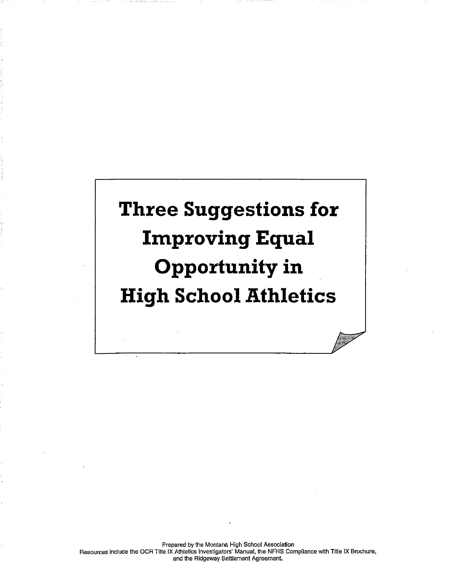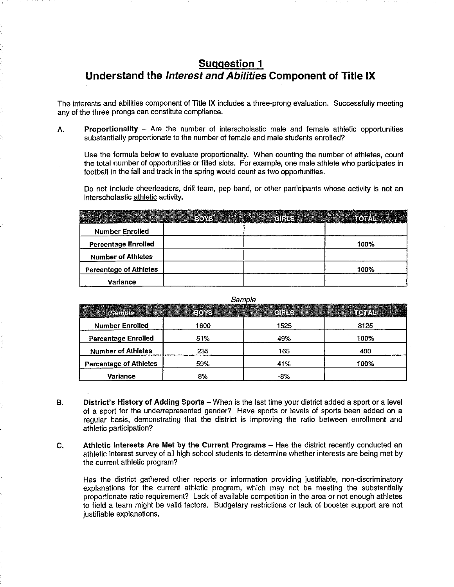## **Suggestion 1** Understand the Interest and Abilities Component of Title IX

The interests and abilities component of Title IX includes a three-prong evaluation. Successfully meeting any of the three prongs can constitute compliance.

Proportionality - Are the number of interscholastic male and female athletic opportunities А. substantially proportionate to the number of female and male students enrolled?

Use the formula below to evaluate proportionality. When counting the number of athletes, count the total number of opportunities or filled slots. For example, one male athlete who participates in football in the fall and track in the spring would count as two opportunities.

Do not include cheerleaders, drill team, pep band, or other participants whose activity is not an interscholastic athletic activity.

|                               | <b>REGISTER STATES</b> |      |
|-------------------------------|------------------------|------|
| <b>Number Enrolled</b>        |                        |      |
| <b>Percentage Enrolled</b>    |                        | 100% |
| <b>Number of Athletes</b>     |                        |      |
| <b>Percentage of Athletes</b> |                        | 100% |
| <b>Variance</b>               |                        |      |

Sample

|                               |      | <b>elelkess</b> |      |
|-------------------------------|------|-----------------|------|
| <b>Number Enrolled</b>        | 1600 | 1525            | 3125 |
| <b>Percentage Enrolled</b>    | 51%  | 49%             | 100% |
| <b>Number of Athletes</b>     | 235  | 165             | 400  |
| <b>Percentage of Athletes</b> | 59%  | 41%             | 100% |
| Variance                      | 8%   | $-8%$           |      |

- District's History of Adding Sports When is the last time your district added a sport or a level **B.** of a sport for the underrepresented gender? Have sports or levels of sports been added on a regular basis, demonstrating that the district is improving the ratio between enrollment and athletic participation?
- C. Athletic Interests Are Met by the Current Programs - Has the district recently conducted an athletic interest survey of all high school students to determine whether interests are being met by the current athletic program?

Has the district gathered other reports or information providing justifiable, non-discriminatory explanations for the current athletic program, which may not be meeting the substantially proportionate ratio requirement? Lack of available competition in the area or not enough athletes to field a team might be valid factors. Budgetary restrictions or lack of booster support are not justifiable explanations.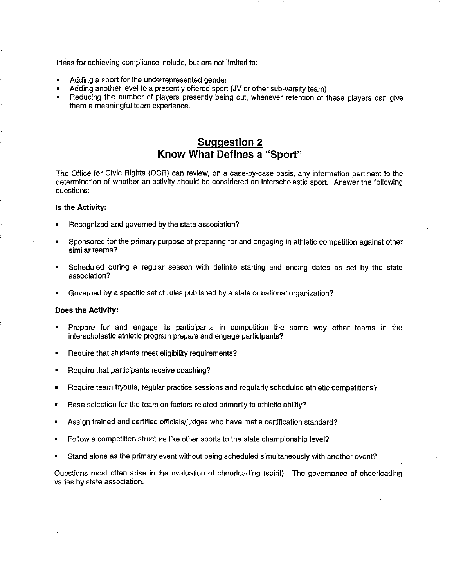Ideas for achieving compliance include, but are not limited to:

- Adding a sport for the underrepresented gender
- Adding another level to a presently offered sport (JV or other sub-varsity team)
- Reducing the number of players presently being cut, whenever retention of these players can give them a meaningful team experience.

## **Suggestion 2** Know What Defines a "Sport"

The Office for Civic Rights (OCR) can review, on a case-by-case basis, any information pertinent to the determination of whether an activity should be considered an interscholastic sport. Answer the following questions:

#### Is the Activity:

- Recognized and governed by the state association?
- Sponsored for the primary purpose of preparing for and engaging in athletic competition against other similar teams?
- Scheduled during a regular season with definite starting and ending dates as set by the state association?
- Governed by a specific set of rules published by a state or national organization?

#### Does the Activity:

- Prepare for and engage its participants in competition the same way other teams in the interscholastic athletic program prepare and engage participants?
- Require that students meet eligibility requirements?
- Require that participants receive coaching?
- Require team tryouts, regular practice sessions and regularly scheduled athletic competitions?
- Base selection for the team on factors related primarily to athletic ability?
- Assign trained and certified officials/judges who have met a certification standard?
- Follow a competition structure like other sports to the state championship level?
- Stand alone as the primary event without being scheduled simultaneously with another event?

Questions most often arise in the evaluation of cheerleading (spirit). The governance of cheerleading varies by state association.